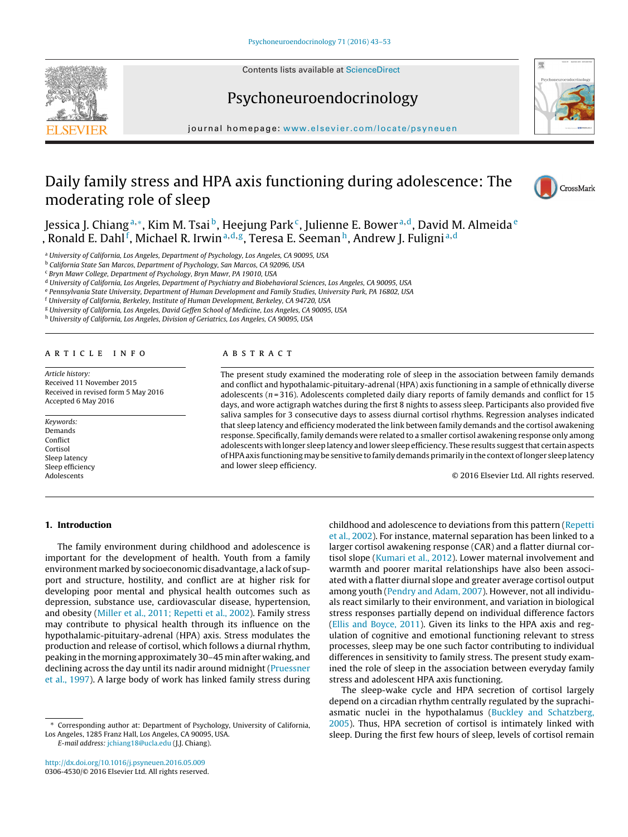Contents lists available at ScienceDirect

## Psychoneuroendocrinology



iournal homepage: www.elsevier.com/locate/psyneuen

# Daily family stress and HPA axis functioning during adolescence: The moderating role of sleep



Jessica J. Chiang<sup>a,∗</sup>, Kim M. Tsai<sup>b</sup>, Heejung Park<sup>c</sup>, Julienne E. Bower<sup>a,d</sup>, David M. Almeida<sup>e</sup> , Ronald E. Dahl<sup>f</sup>, Michael R. Irwin<sup>a,d,g</sup>, Teresa E. Seeman<sup>h</sup>, Andrew J. Fuligni<sup>a,d</sup>

<sup>a</sup> University of California, Los Angeles, Department of Psychology, Los Angeles, CA 90095, USA

<sup>b</sup> California State San Marcos, Department of Psychology, San Marcos, CA 92096, USA

<sup>c</sup> Bryn Mawr College, Department of Psychology, Bryn Mawr, PA 19010, USA

<sup>d</sup> University of California, Los Angeles, Department of Psychiatry and Biobehavioral Sciences, Los Angeles, CA 90095, USA

<sup>e</sup> Pennsylvania State University, Department of Human Development and Family Studies, University Park, PA 16802, USA

<sup>f</sup> University of California, Berkeley, Institute of Human Development, Berkeley, CA 94720, USA

<sup>g</sup> University of California, Los Angeles, David Geffen School of Medicine, Los Angeles, CA 90095, USA

h University of California, Los Angeles, Division of Geriatrics, Los Angeles, CA 90095, USA

#### a r t i c l e i n f o

Article history: Received 11 November 2015 Received in revised form 5 May 2016 Accepted 6 May 2016

Keywords: Demands Conflict Cortisol Sleep latency Sleep efficiency Adolescents

## A B S T R A C T

The present study examined the moderating role of sleep in the association between family demands and conflict and hypothalamic-pituitary-adrenal (HPA) axis functioning in a sample of ethnically diverse adolescents ( $n = 316$ ). Adolescents completed daily diary reports of family demands and conflict for 15 days, and wore actigraph watches during the first 8 nights to assess sleep. Participants also provided five saliva samples for 3 consecutive days to assess diurnal cortisol rhythms. Regression analyses indicated that sleep latency and efficiency moderated the link between family demands and the cortisol awakening response. Specifically, family demands were related to a smaller cortisol awakening response only among adolescents with longer sleep latency and lower sleep efficiency. These results suggestthat certain aspects of HPA axis functioning may be sensitive to family demands primarily in the context of longer sleep latency and lower sleep efficiency.

© 2016 Elsevier Ltd. All rights reserved.

## **1. Introduction**

The family environment during childhood and adolescence is important for the development of health. Youth from a family environment marked by socioeconomic disadvantage, a lack of support and structure, hostility, and conflict are at higher risk for developing poor mental and physical health outcomes such as depression, substance use, cardiovascular disease, hypertension, and obesity (Miller et al., 2011; Repetti et al., 2002). Family stress may contribute to physical health through its influence on the hypothalamic-pituitary-adrenal (HPA) axis. Stress modulates the production and release of cortisol, which follows a diurnal rhythm, peaking in themorning approximately 30–45 min after waking, and declining across the day until its nadir around midnight (Pruessner et al., 1997). A large body of work has linked family stress during

Corresponding author at: Department of Psychology, University of California, Los Angeles, 1285 Franz Hall, Los Angeles, CA 90095, USA.

E-mail address: jchiang18@ucla.edu (J.J. Chiang).

http://dx.doi.org/10.1016/j.psyneuen.2016.05.009 0306-4530/© 2016 Elsevier Ltd. All rights reserved. childhood and adolescence to deviations from this pattern (Repetti et al., 2002). For instance, maternal separation has been linked to a larger cortisol awakening response (CAR) and a flatter diurnal cortisol slope (Kumari et al., 2012). Lower maternal involvement and warmth and poorer marital relationships have also been associated with a flatter diurnal slope and greater average cortisol output among youth (Pendry and Adam, 2007). However, not all individuals react similarly to their environment, and variation in biological stress responses partially depend on individual difference factors (Ellis and Boyce, 2011). Given its links to the HPA axis and regulation of cognitive and emotional functioning relevant to stress processes, sleep may be one such factor contributing to individual differences in sensitivity to family stress. The present study examined the role of sleep in the association between everyday family stress and adolescent HPA axis functioning.

The sleep-wake cycle and HPA secretion of cortisol largely depend on a circadian rhythm centrally regulated by the suprachiasmatic nuclei in the hypothalamus (Buckley and Schatzberg, 2005). Thus, HPA secretion of cortisol is intimately linked with sleep. During the first few hours of sleep, levels of cortisol remain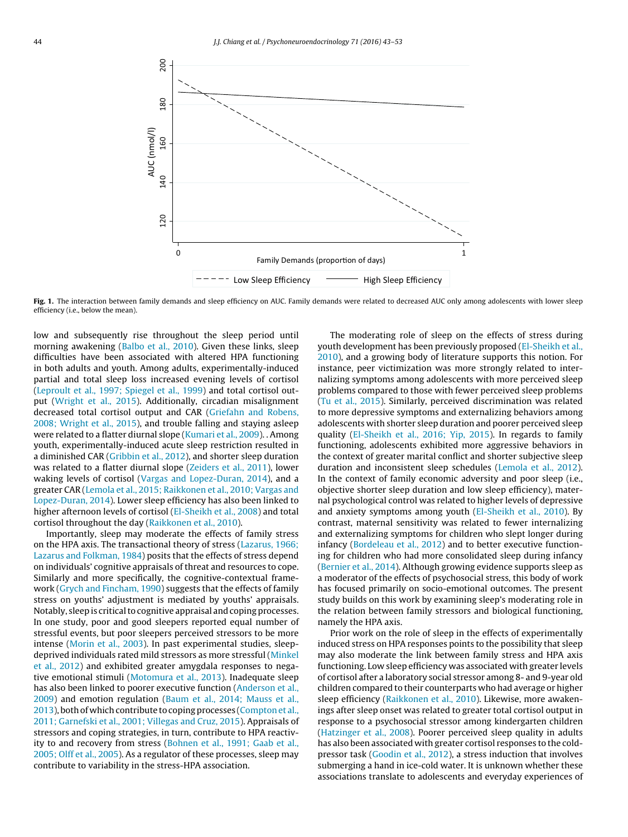

Fig. 1. The interaction between family demands and sleep efficiency on AUC. Family demands were related to decreased AUC only among adolescents with lower sleep efficiency (i.e., below the mean).

low and subsequently rise throughout the sleep period until morning awakening (Balbo et al., 2010). Given these links, sleep difficulties have been associated with altered HPA functioning in both adults and youth. Among adults, experimentally-induced partial and total sleep loss increased evening levels of cortisol (Leproult et al., 1997; Spiegel et al., 1999) and total cortisol output (Wright et al., 2015). Additionally, circadian misalignment decreased total cortisol output and CAR (Griefahn and Robens, 2008; Wright et al., 2015), and trouble falling and staying asleep were related to a flatter diurnal slope (Kumari et al., 2009). . Among youth, experimentally-induced acute sleep restriction resulted in a diminished CAR (Gribbin et al., 2012), and shorter sleep duration was related to a flatter diurnal slope (Zeiders et al., 2011), lower waking levels of cortisol (Vargas and Lopez-Duran, 2014), and a greater CAR (Lemola et al., 2015; Raikkonen et al., 2010; Vargas and Lopez-Duran, 2014). Lower sleep efficiency has also been linked to higher afternoon levels of cortisol (El-Sheikh et al., 2008) and total cortisol throughout the day (Raikkonen et al., 2010).

Importantly, sleep may moderate the effects of family stress on the HPA axis. The transactional theory of stress (Lazarus, 1966; Lazarus and Folkman, 1984) posits that the effects of stress depend on individuals' cognitive appraisals of threat and resources to cope. Similarly and more specifically, the cognitive-contextual framework (Grych and Fincham, 1990) suggests that the effects of family stress on youths' adjustment is mediated by youths' appraisals. Notably, sleep is critical to cognitive appraisal and coping processes. In one study, poor and good sleepers reported equal number of stressful events, but poor sleepers perceived stressors to be more intense (Morin et al., 2003). In past experimental studies, sleepdeprived individuals rated mild stressors as more stressful (Minkel et al., 2012) and exhibited greater amygdala responses to negative emotional stimuli (Motomura et al., 2013). Inadequate sleep has also been linked to poorer executive function (Anderson et al., 2009) and emotion regulation (Baum et al., 2014; Mauss et al., 2013), both of which contribute to coping processes (Compton et al., 2011; Garnefski et al., 2001; Villegas and Cruz, 2015). Appraisals of stressors and coping strategies, in turn, contribute to HPA reactivity to and recovery from stress (Bohnen et al., 1991; Gaab et al., 2005; Olff et al., 2005). As a regulator of these processes, sleep may contribute to variability in the stress-HPA association.

The moderating role of sleep on the effects of stress during youth development has been previously proposed (El-Sheikh et al., 2010), and a growing body of literature supports this notion. For instance, peer victimization was more strongly related to internalizing symptoms among adolescents with more perceived sleep problems compared to those with fewer perceived sleep problems (Tu et al., 2015). Similarly, perceived discrimination was related to more depressive symptoms and externalizing behaviors among adolescents with shorter sleep duration and poorer perceived sleep quality (El-Sheikh et al., 2016; Yip, 2015). In regards to family functioning, adolescents exhibited more aggressive behaviors in the context of greater marital conflict and shorter subjective sleep duration and inconsistent sleep schedules (Lemola et al., 2012). In the context of family economic adversity and poor sleep (i.e., objective shorter sleep duration and low sleep efficiency), maternal psychological control was related to higher levels of depressive and anxiety symptoms among youth (El-Sheikh et al., 2010). By contrast, maternal sensitivity was related to fewer internalizing and externalizing symptoms for children who slept longer during infancy (Bordeleau et al., 2012) and to better executive functioning for children who had more consolidated sleep during infancy (Bernier et al., 2014). Although growing evidence supports sleep as a moderator of the effects of psychosocial stress, this body of work has focused primarily on socio-emotional outcomes. The present study builds on this work by examining sleep's moderating role in the relation between family stressors and biological functioning, namely the HPA axis.

Prior work on the role of sleep in the effects of experimentally induced stress on HPA responses points to the possibility that sleep may also moderate the link between family stress and HPA axis functioning. Low sleep efficiency was associated with greater levels of cortisol after a laboratory social stressor among 8- and 9-year old children compared to their counterparts who had average or higher sleep efficiency (Raikkonen et al., 2010). Likewise, more awakenings after sleep onset was related to greater total cortisol output in response to a psychosocial stressor among kindergarten children (Hatzinger et al., 2008). Poorer perceived sleep quality in adults has also been associated with greater cortisol responses to the coldpressor task (Goodin et al., 2012), a stress induction that involves submerging a hand in ice-cold water. It is unknown whether these associations translate to adolescents and everyday experiences of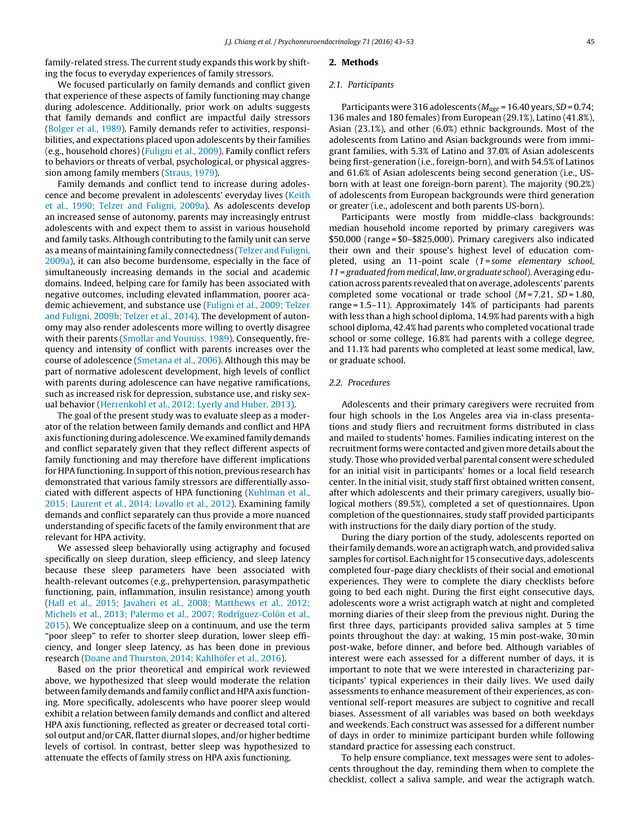family-related stress. The current study expands this work by shifting the focus to everyday experiences of family stressors.

## We focused particularly on family demands and conflict given that experience of these aspects of family functioning may change during adolescence. Additionally, prior work on adults suggests that family demands and conflict are impactful daily stressors (Bolger et al., 1989). Family demands refer to activities, responsibilities, and expectations placed upon adolescents by their families (e.g., household chores) (Fuligni et al., 2009). Family conflict refers to behaviors or threats of verbal, psychological, or physical aggression among family members (Straus, 1979).

Family demands and conflict tend to increase during adolescence and become prevalent in adolescents' everyday lives (Keith et al., 1990; Telzer and Fuligni, 2009a). As adolescents develop an increased sense of autonomy, parents may increasingly entrust adolescents with and expect them to assist in various household and family tasks. Although contributing to the family unit can serve as ameans ofmaintaining family connectedness (Telzer and Fuligni, 2009a), it can also become burdensome, especially in the face of simultaneously increasing demands in the social and academic domains. Indeed, helping care for family has been associated with negative outcomes, including elevated inflammation, poorer academic achievement, and substance use (Fuligni et al., 2009; Telzer and Fuligni, 2009b; Telzer et al., 2014). The development of autonomy may also render adolescents more willing to overtly disagree with their parents (Smollar and Youniss, 1989). Consequently, frequency and intensity of conflict with parents increases over the course of adolescence (Smetana et al., 2006). Although this may be part of normative adolescent development, high levels of conflict with parents during adolescence can have negative ramifications, such as increased risk for depression, substance use, and risky sexual behavior (Herrenkohl et al., 2012; Lyerly and Huber, 2013).

The goal of the present study was to evaluate sleep as a moderator of the relation between family demands and conflict and HPA axis functioning during adolescence.We examined family demands and conflict separately given that they reflect different aspects of family functioning and may therefore have different implications for HPA functioning. In support of this notion, previous research has demonstrated that various family stressors are differentially associated with different aspects of HPA functioning (Kuhlman et al., 2015; Laurent et al., 2014; Lovallo et al., 2012). Examining family demands and conflict separately can thus provide a more nuanced understanding of specific facets of the family environment that are relevant for HPA activity.

We assessed sleep behaviorally using actigraphy and focused specifically on sleep duration, sleep efficiency, and sleep latency because these sleep parameters have been associated with health-relevant outcomes (e.g., prehypertension, parasympathetic functioning, pain, inflammation, insulin resistance) among youth (Hall et al., 2015; Javaheri et al., 2008; Matthews et al., 2012; Michels et al., 2013; Palermo et al., 2007; Rodríguez-Colón et al., 2015). We conceptualize sleep on a continuum, and use the term "poor sleep" to refer to shorter sleep duration, lower sleep efficiency, and longer sleep latency, as has been done in previous research (Doane and Thurston, 2014; Kahlhöfer et al., 2016).

Based on the prior theoretical and empirical work reviewed above, we hypothesized that sleep would moderate the relation between family demands and family conflict and HPA axis functioning. More specifically, adolescents who have poorer sleep would exhibit a relation between family demands and conflict and altered HPA axis functioning, reflected as greater or decreased total cortisol output and/or CAR, flatter diurnal slopes, and/or higher bedtime levels of cortisol. In contrast, better sleep was hypothesized to attenuate the effects of family stress on HPA axis functioning.

#### **2. Methods**

#### 2.1. Participants

Participants were 316 adolescents ( $M_{age}$  = 16.40 years, SD = 0.74; 136 males and 180 females) from European (29.1%), Latino (41.8%), Asian (23.1%), and other (6.0%) ethnic backgrounds. Most of the adolescents from Latino and Asian backgrounds were from immigrant families, with 5.3% of Latino and 37.0% of Asian adolescents being first-generation (i.e., foreign-born), and with 54.5% of Latinos and 61.6% of Asian adolescents being second generation (i.e., USborn with at least one foreign-born parent). The majority (90.2%) of adolescents from European backgrounds were third generation or greater (i.e., adolescent and both parents US-born).

Participants were mostly from middle-class backgrounds: median household income reported by primary caregivers was \$50,000 (range = \$0–\$825,000). Primary caregivers also indicated their own and their spouse's highest level of education completed, using an 11-point scale (1=some elementary school, 11 = graduated from medical, law, or graduate school).Averaging education across parents revealed that on average, adolescents' parents completed some vocational or trade school  $(M=7.21, SD=1.80,$ range = 1.5–11). Approximately 14% of participants had parents with less than a high school diploma, 14.9% had parents with a high school diploma, 42.4% had parents who completed vocational trade school or some college, 16.8% had parents with a college degree, and 11.1% had parents who completed at least some medical, law, or graduate school.

## 2.2. Procedures

Adolescents and their primary caregivers were recruited from four high schools in the Los Angeles area via in-class presentations and study fliers and recruitment forms distributed in class and mailed to students' homes. Families indicating interest on the recruitment forms were contacted and given more details about the study. Those who provided verbal parental consent were scheduled for an initial visit in participants' homes or a local field research center. In the initial visit, study staff first obtained written consent, after which adolescents and their primary caregivers, usually biological mothers (89.5%), completed a set of questionnaires. Upon completion of the questionnaires, study staff provided participants with instructions for the daily diary portion of the study.

During the diary portion of the study, adolescents reported on their family demands, wore an actigraph watch, and provided saliva samples for cortisol. Each night for 15 consecutive days, adolescents completed four-page diary checklists of their social and emotional experiences. They were to complete the diary checklists before going to bed each night. During the first eight consecutive days, adolescents wore a wrist actigraph watch at night and completed morning diaries of their sleep from the previous night. During the first three days, participants provided saliva samples at 5 time points throughout the day: at waking, 15 min post-wake, 30 min post-wake, before dinner, and before bed. Although variables of interest were each assessed for a different number of days, it is important to note that we were interested in characterizing participants' typical experiences in their daily lives. We used daily assessments to enhance measurement of their experiences, as conventional self-report measures are subject to cognitive and recall biases. Assessment of all variables was based on both weekdays and weekends. Each construct was assessed for a different number of days in order to minimize participant burden while following standard practice for assessing each construct.

To help ensure compliance, text messages were sent to adolescents throughout the day, reminding them when to complete the checklist, collect a saliva sample, and wear the actigraph watch.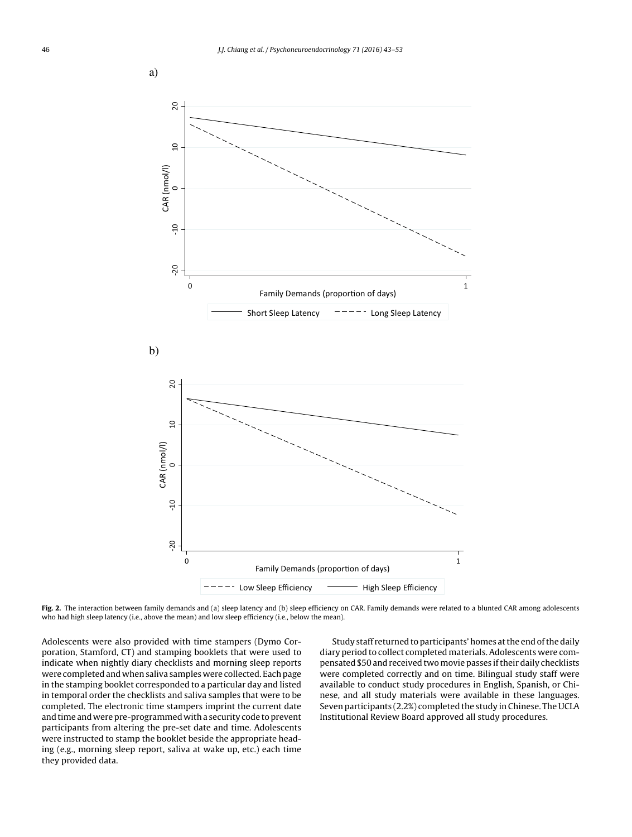

Fig. 2. The interaction between family demands and (a) sleep latency and (b) sleep efficiency on CAR. Family demands were related to a blunted CAR among adolescents who had high sleep latency (i.e., above the mean) and low sleep efficiency (i.e., below the mean).

Adolescents were also provided with time stampers (Dymo Corporation, Stamford, CT) and stamping booklets that were used to indicate when nightly diary checklists and morning sleep reports were completed and when saliva samples were collected. Each page in the stamping booklet corresponded to a particular day and listed in temporal order the checklists and saliva samples that were to be completed. The electronic time stampers imprint the current date and time and were pre-programmed with a security code to prevent participants from altering the pre-set date and time. Adolescents were instructed to stamp the booklet beside the appropriate heading (e.g., morning sleep report, saliva at wake up, etc.) each time they provided data.

Study staff returned to participants' homes at the end of the daily diary period to collect completed materials. Adolescents were compensated \$50 and received two movie passes iftheir daily checklists were completed correctly and on time. Bilingual study staff were available to conduct study procedures in English, Spanish, or Chinese, and all study materials were available in these languages. Seven participants (2.2%) completed the study in Chinese. The UCLA Institutional Review Board approved all study procedures.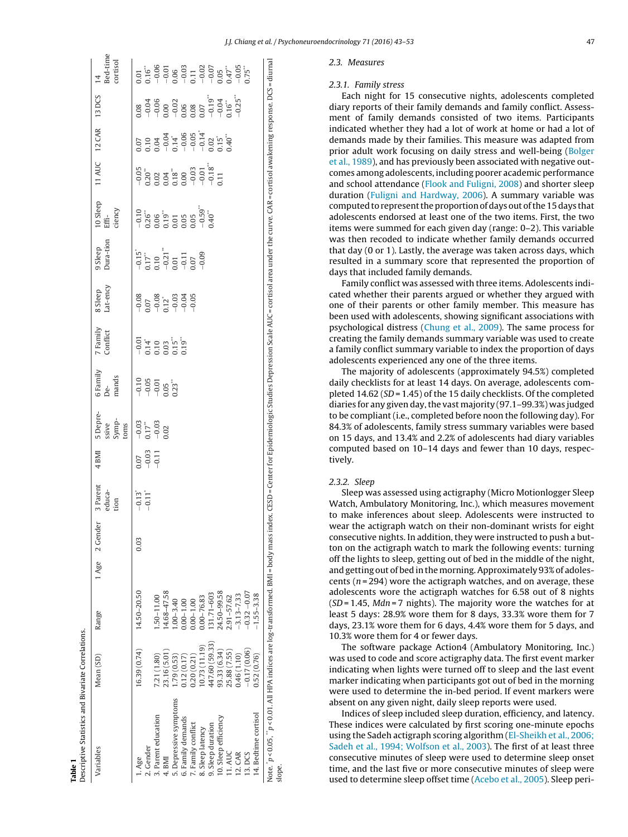|                            | ٦                   |
|----------------------------|---------------------|
|                            | 4 <sub>BMI</sub>    |
|                            | Parent              |
|                            | <sup>7</sup> Gender |
|                            | Age                 |
|                            | Range               |
| $\frac{1}{2}$              | lean (SD)           |
| Ctatictics and By<br>n.com | Ę                   |

**Table 1**

| Bed-time<br>cortisol<br>$\overline{14}$<br>13 DCS<br><b>12 CAR</b> | $\begin{array}{l} 1.01 \\ 1.16 \end{array}$<br>1.16"<br>$-9.06$<br>$-9.03$<br>$-1.03$<br>$-1.03$<br>$-1.05$<br>$-1.05$<br>$-1.05$<br>$-1.05$<br>$-1.05$<br>$-1.05$<br>$-1.05$<br>0.08<br>$0.07$ $0.04$ $0.04$ $0.05$ $0.04$ $0.05$ $0.05$ $0.05$ $0.05$ $0.05$ $0.05$ $0.05$ $0.05$ $0.05$ $0.05$ $0.05$ $0.05$ $0.05$ | $\begin{array}{cccc}\n-0.04 & 0.04 & 0.00 & 0.00 & 0.00 & 0.00 & 0.00 & 0.00 & 0.00 & 0.00 & 0.00 & 0.00 & 0.00 & 0.00 & 0.00 & 0.00 & 0.00 & 0.00 & 0.00 & 0.00 & 0.00 & 0.00 & 0.00 & 0.00 & 0.00 & 0.00 & 0.00 & 0.00 & 0.00 & 0.00 & 0.00 & 0.00 & 0.00 & 0.00 & 0.00 & 0$ |             |                        |                   |                    |                 |                   |                      |               | $-0.25$ <sup>**</sup> |                |                      | Note. "p<0.01. All HPA indices are log-transformed. BMI= body mass index. CESD=Center for Epidemiologic Studies Depression Scale AUC=cortisol area under the curve. CAR=cortisol awakening response. DCS=diurnal |        |
|--------------------------------------------------------------------|------------------------------------------------------------------------------------------------------------------------------------------------------------------------------------------------------------------------------------------------------------------------------------------------------------------------|--------------------------------------------------------------------------------------------------------------------------------------------------------------------------------------------------------------------------------------------------------------------------------|-------------|------------------------|-------------------|--------------------|-----------------|-------------------|----------------------|---------------|-----------------------|----------------|----------------------|------------------------------------------------------------------------------------------------------------------------------------------------------------------------------------------------------------------|--------|
| 11 AUC                                                             | $-0.05$                                                                                                                                                                                                                                                                                                                | $\begin{array}{c} 220 \\ 0.22 \\ 0.04 \\ 0.04 \\ 0.00 \\ 0.00 \\ -0.01 \\ 0.01 \\ -0.18 \\ \end{array}$                                                                                                                                                                        |             |                        |                   |                    |                 |                   | 11 <sub>1</sub>      |               |                       |                |                      |                                                                                                                                                                                                                  |        |
| 10 Sleep<br>ciency<br>Effi-                                        |                                                                                                                                                                                                                                                                                                                        |                                                                                                                                                                                                                                                                                |             |                        |                   |                    |                 |                   |                      |               |                       |                |                      |                                                                                                                                                                                                                  |        |
| Dura-tion<br>9 Sleep                                               | $-0.15$<br>$-0.17$<br>$-0.21$<br>$-0.21$<br>$-0.11$<br>$-0.11$                                                                                                                                                                                                                                                         |                                                                                                                                                                                                                                                                                |             |                        |                   |                    | $-0.09$         |                   |                      |               |                       |                |                      |                                                                                                                                                                                                                  |        |
| Lat-ency<br>8 Sleep                                                | $-0.08$                                                                                                                                                                                                                                                                                                                | $0.07$<br>$-0.08$<br>$-0.12$<br>$-0.03$<br>$-0.04$                                                                                                                                                                                                                             |             |                        |                   | $-0.05$            |                 |                   |                      |               |                       |                |                      |                                                                                                                                                                                                                  |        |
| 7 Family<br>Conflict                                               | $-0.14$<br>$-0.10$<br>$-0.03$<br>$-0.19$<br>$-0.19$<br>$-0.19$                                                                                                                                                                                                                                                         |                                                                                                                                                                                                                                                                                |             |                        |                   |                    |                 |                   |                      |               |                       |                |                      |                                                                                                                                                                                                                  |        |
| 6 Family<br>mands<br>De-                                           | $-0.05$<br>$-0.05$<br>$-0.05$<br>$0.23$                                                                                                                                                                                                                                                                                |                                                                                                                                                                                                                                                                                |             |                        |                   |                    |                 |                   |                      |               |                       |                |                      |                                                                                                                                                                                                                  |        |
| 5 Depre-<br>Symp-<br>ssive<br>oms                                  | $-0.03$<br>0.17                                                                                                                                                                                                                                                                                                        | $-0.03$                                                                                                                                                                                                                                                                        | 0.02        |                        |                   |                    |                 |                   |                      |               |                       |                |                      |                                                                                                                                                                                                                  |        |
| 4 <sub>BMI</sub>                                                   | $\begin{array}{c} 0.07 \\ -0.03 \\ -0.11 \end{array}$                                                                                                                                                                                                                                                                  |                                                                                                                                                                                                                                                                                |             |                        |                   |                    |                 |                   |                      |               |                       |                |                      |                                                                                                                                                                                                                  |        |
| 3 Parent<br>educa-<br>tion                                         | $-0.11$ <sup>*</sup><br>$-0.13$ <sup>*</sup>                                                                                                                                                                                                                                                                           |                                                                                                                                                                                                                                                                                |             |                        |                   |                    |                 |                   |                      |               |                       |                |                      |                                                                                                                                                                                                                  |        |
| 2 Gender                                                           | 0.03                                                                                                                                                                                                                                                                                                                   |                                                                                                                                                                                                                                                                                |             |                        |                   |                    |                 |                   |                      |               |                       |                |                      |                                                                                                                                                                                                                  |        |
| 1 Age                                                              |                                                                                                                                                                                                                                                                                                                        |                                                                                                                                                                                                                                                                                |             |                        |                   |                    |                 |                   |                      |               |                       |                |                      |                                                                                                                                                                                                                  |        |
| Range                                                              | 14.50-20.50                                                                                                                                                                                                                                                                                                            | $.50 - 11.00$                                                                                                                                                                                                                                                                  | 4.68-47.58  | $.00 - 3.40$           | $.00 - 1.00$      | $0.00 - 1.00$      | $.00 - 76.83$   | 131.71-603        | 24.50-99.58          | $.91 - 57.62$ | $3.13 - 7.33$         | $-0.32 - 0.07$ | 1.55-3.38            |                                                                                                                                                                                                                  |        |
| Mean <sub>(SD)</sub>                                               | 16.39 (0.74)                                                                                                                                                                                                                                                                                                           | 7.21 (1.80)                                                                                                                                                                                                                                                                    | 23.16(5.01) | 1.79(0.53)             | 0.12(0.17)        | 0.20(0.21)         | 0.73(11.19)     | 447.60 (59.33)    | 93.33 (6.34)         | 25.88 (7.55)  | 1,46 (1.10)           | $-0.17(0.06)$  | 0.52(0.76)           |                                                                                                                                                                                                                  |        |
| Variables                                                          | . Gender<br>l. Age                                                                                                                                                                                                                                                                                                     | 3. Parent education                                                                                                                                                                                                                                                            | I, BMI      | 5. Depressive symptoms | i. Family demands | '. Family conflict | . Sleep latency | 9. Sleep duration | 10. Sleep efficiency | 11. AUC       | 12. CAR               | 13. DCS        | 14. Bedtime cortisol |                                                                                                                                                                                                                  | slope. |

## 2.3.1. Family stress

Each night for 15 consecutive nights, adolescents completed diary reports of their family demands and family conflict. Assessment of family demands consisted of two items. Participants indicated whether they had a lot of work at home or had a lot of demands made by their families. This measure was adapted from prior adult work focusing on daily stress and well-being (Bolger et al., 1989), and has previously been associated with negative outcomes among adolescents, including poorer academic performance and school attendance (Flook and Fuligni, 2008 ) and shorter sleep duration (Fuligni and Hardway, 2006). A summary variable was computed to represent the proportion of days out of the 15 days that adolescents endorsed at least one of the two items. First, the two items were summed for each given day (range: 0–2). This variable was then recoded to indicate whether family demands occurred that day (0 or 1). Lastly, the average was taken across days, which resulted in a summary score that represented the proportion of days that included family demands.

Family conflict was assessed with three items. Adolescents indicated whether their parents argued or whether they argued with one of their parents or other family member. This measure has been used with adolescents, showing significant associations with psychological distress (Chung et al., 2009). The same process for creating the family demands summary variable was used to create a family conflict summary variable to index the proportion of days adolescents experienced any one of the three items.

The majority of adolescents (approximately 94.5%) completed daily checklists for at least 14 days. On average, adolescents completed 14.62 (SD = 1.45) of the 15 daily checklists. Of the completed diaries for any given day, the vast majority (97.1–99.3%) was judged to be compliant (i.e., completed before noon the following day). For 84.3% of adolescents, family stress summary variables were based on 15 days, and 13.4% and 2.2% of adolescents had diary variables computed based on 10–14 days and fewer than 10 days, respectively.

#### 2.3.2. Sleep

Sleep was assessed using actigraphy (Micro Motionlogger Sleep Watch, Ambulatory Monitoring, Inc.), which measures movement to make inferences about sleep. Adolescents were instructed to wear the actigraph watch on their non-dominant wrists for eight consecutive nights. In addition, they were instructed to push a button on the actigraph watch to mark the following events: turning off the lights to sleep, getting out of bed in the middle of the night, and getting out of bed in the morning.Approximately 93%of adolescents ( $n = 294$ ) wore the actigraph watches, and on average, these adolescents wore the actigraph watches for 6.58 out of 8 nights (SD = 1.45, Mdn = 7 nights). The majority wore the watches for at least 5 days: 28.9% wore them for 8 days, 33.3% wore them for 7 days, 23.1% wore them for 6 days, 4.4% wore them for 5 days, and 10.3% wore them for 4 or fewer days.

The software package Action4 (Ambulatory Monitoring, Inc.) was used to code and score actigraphy data. The first event marker indicating when lights were turned off to sleep and the last event marker indicating when participants got out of bed in the morning were used to determine the in-bed period. If event markers were absent on any given night, daily sleep reports were used.

Indices of sleep included sleep duration, efficiency, and latency. These indices were calculated by first scoring one-minute epochs using the Sadeh actigraph scoring algorithm (El-Sheikh et al., 2006; Sadeh et al., 1994; Wolfson et al., 2003). The first of at least three consecutive minutes of sleep were used to determine sleep onset time, and the last five or more consecutive minutes of sleep were used to determine sleep offset time (Acebo et al., 2005). Sleep peri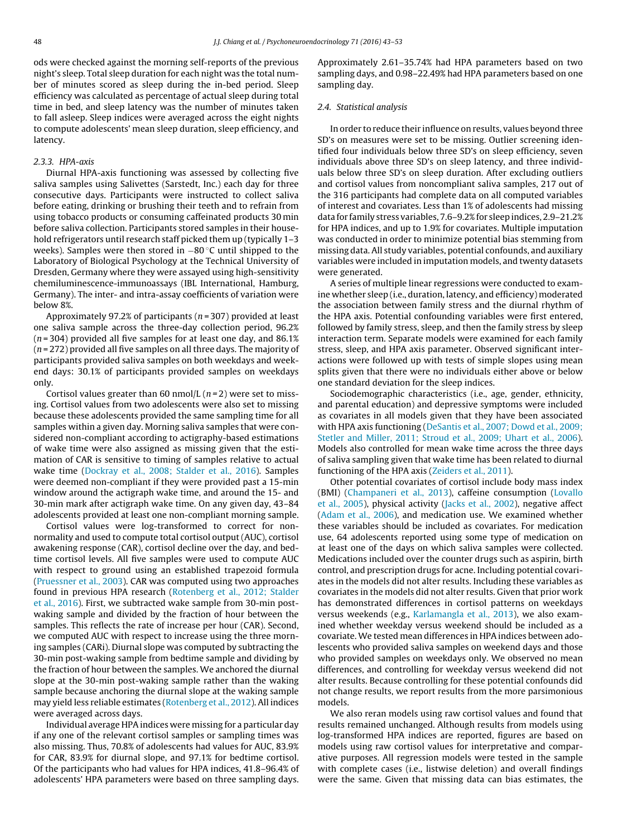ods were checked against the morning self-reports of the previous night's sleep. Total sleep duration for each night was the total number of minutes scored as sleep during the in-bed period. Sleep efficiency was calculated as percentage of actual sleep during total time in bed, and sleep latency was the number of minutes taken to fall asleep. Sleep indices were averaged across the eight nights to compute adolescents' mean sleep duration, sleep efficiency, and latency.

## 2.3.3. HPA-axis

Diurnal HPA-axis functioning was assessed by collecting five saliva samples using Salivettes (Sarstedt, Inc.) each day for three consecutive days. Participants were instructed to collect saliva before eating, drinking or brushing their teeth and to refrain from using tobacco products or consuming caffeinated products 30 min before saliva collection. Participants stored samples in their household refrigerators until research staff picked them up (typically 1–3 weeks). Samples were then stored in −80 °C until shipped to the Laboratory of Biological Psychology at the Technical University of Dresden, Germany where they were assayed using high-sensitivity chemiluminescence-immunoassays (IBL International, Hamburg, Germany). The inter- and intra-assay coefficients of variation were below 8%.

Approximately 97.2% of participants ( $n = 307$ ) provided at least one saliva sample across the three-day collection period, 96.2%  $(n=304)$  provided all five samples for at least one day, and 86.1%  $(n = 272)$  provided all five samples on all three days. The majority of participants provided saliva samples on both weekdays and weekend days: 30.1% of participants provided samples on weekdays only.

Cortisol values greater than 60 nmol/L  $(n=2)$  were set to missing. Cortisol values from two adolescents were also set to missing because these adolescents provided the same sampling time for all samples within a given day. Morning saliva samples that were considered non-compliant according to actigraphy-based estimations of wake time were also assigned as missing given that the estimation of CAR is sensitive to timing of samples relative to actual wake time (Dockray et al., 2008; Stalder et al., 2016). Samples were deemed non-compliant if they were provided past a 15-min window around the actigraph wake time, and around the 15- and 30-min mark after actigraph wake time. On any given day, 43–84 adolescents provided at least one non-compliant morning sample.

Cortisol values were log-transformed to correct for nonnormality and used to compute total cortisol output (AUC), cortisol awakening response (CAR), cortisol decline over the day, and bedtime cortisol levels. All five samples were used to compute AUC with respect to ground using an established trapezoid formula (Pruessner et al., 2003). CAR was computed using two approaches found in previous HPA research (Rotenberg et al., 2012; Stalder et al., 2016). First, we subtracted wake sample from 30-min postwaking sample and divided by the fraction of hour between the samples. This reflects the rate of increase per hour (CAR). Second, we computed AUC with respect to increase using the three morning samples (CARi). Diurnal slope was computed by subtracting the 30-min post-waking sample from bedtime sample and dividing by the fraction of hour between the samples. We anchored the diurnal slope at the 30-min post-waking sample rather than the waking sample because anchoring the diurnal slope at the waking sample may yield less reliable estimates (Rotenberg et al., 2012). All indices were averaged across days.

Individual average HPA indices were missing for a particular day if any one of the relevant cortisol samples or sampling times was also missing. Thus, 70.8% of adolescents had values for AUC, 83.9% for CAR, 83.9% for diurnal slope, and 97.1% for bedtime cortisol. Of the participants who had values for HPA indices, 41.8–96.4% of adolescents' HPA parameters were based on three sampling days.

Approximately 2.61–35.74% had HPA parameters based on two sampling days, and 0.98–22.49% had HPA parameters based on one sampling day.

#### 2.4. Statistical analysis

In order to reduce their influence on results, values beyond three SD's on measures were set to be missing. Outlier screening identified four individuals below three SD's on sleep efficiency, seven individuals above three SD's on sleep latency, and three individuals below three SD's on sleep duration. After excluding outliers and cortisol values from noncompliant saliva samples, 217 out of the 316 participants had complete data on all computed variables of interest and covariates. Less than 1% of adolescents had missing data for family stress variables, 7.6–9.2%for sleep indices, 2.9–21.2% for HPA indices, and up to 1.9% for covariates. Multiple imputation was conducted in order to minimize potential bias stemming from missing data. All study variables, potential confounds, and auxiliary variables were included in imputation models, and twenty datasets were generated.

A series of multiple linear regressions were conducted to examine whether sleep (i.e., duration, latency, and efficiency) moderated the association between family stress and the diurnal rhythm of the HPA axis. Potential confounding variables were first entered, followed by family stress, sleep, and then the family stress by sleep interaction term. Separate models were examined for each family stress, sleep, and HPA axis parameter. Observed significant interactions were followed up with tests of simple slopes using mean splits given that there were no individuals either above or below one standard deviation for the sleep indices.

Sociodemographic characteristics (i.e., age, gender, ethnicity, and parental education) and depressive symptoms were included as covariates in all models given that they have been associated with HPA axis functioning (DeSantis et al., 2007; Dowd et al., 2009; Stetler and Miller, 2011; Stroud et al., 2009; Uhart et al., 2006). Models also controlled for mean wake time across the three days of saliva sampling given that wake time has been related to diurnal functioning of the HPA axis (Zeiders et al., 2011).

Other potential covariates of cortisol include body mass index (BMI) (Champaneri et al., 2013), caffeine consumption (Lovallo et al., 2005), physical activity (Jacks et al., 2002), negative affect (Adam et al., 2006), and medication use. We examined whether these variables should be included as covariates. For medication use, 64 adolescents reported using some type of medication on at least one of the days on which saliva samples were collected. Medications included over the counter drugs such as aspirin, birth control, and prescription drugs for acne. Including potential covariates in the models did not alter results. Including these variables as covariates in the models did not alter results. Given that prior work has demonstrated differences in cortisol patterns on weekdays versus weekends (e.g., Karlamangla et al., 2013), we also examined whether weekday versus weekend should be included as a covariate. We tested mean differences in HPA indices between adolescents who provided saliva samples on weekend days and those who provided samples on weekdays only. We observed no mean differences, and controlling for weekday versus weekend did not alter results. Because controlling for these potential confounds did not change results, we report results from the more parsimonious models.

We also reran models using raw cortisol values and found that results remained unchanged. Although results from models using log-transformed HPA indices are reported, figures are based on models using raw cortisol values for interpretative and comparative purposes. All regression models were tested in the sample with complete cases (i.e., listwise deletion) and overall findings were the same. Given that missing data can bias estimates, the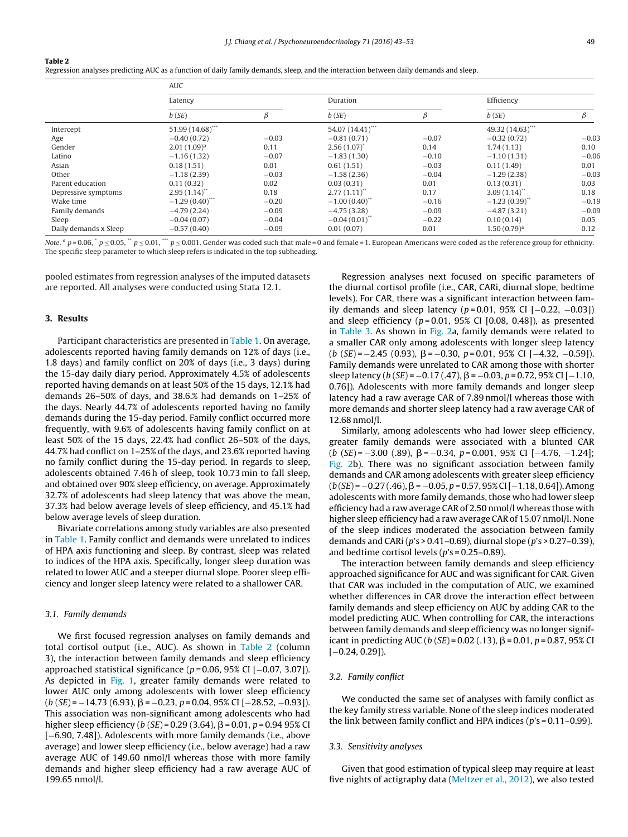#### **Table 2**

Regression analyses predicting AUC as a function of daily family demands, sleep, and the interaction between daily demands and sleep.

|                       | AUC                |         |                    |         |                   |         |  |  |  |
|-----------------------|--------------------|---------|--------------------|---------|-------------------|---------|--|--|--|
|                       | Latency            |         | Duration           |         | Efficiency        |         |  |  |  |
| b(SE)                 |                    | β       | b(SE)              | β       | b(SE)             | β       |  |  |  |
| Intercept             | $51.99(14.68)$ *** |         | 54.07 (14.41)***   |         | 49.32 (14.63)***  |         |  |  |  |
| Age                   | $-0.40(0.72)$      | $-0.03$ | $-0.81(0.71)$      | $-0.07$ | $-0.32(0.72)$     | $-0.03$ |  |  |  |
| Gender                | $2.01(1.09)^a$     | 0.11    | $2.56(1.07)^{*}$   | 0.14    | 1.74(1.13)        | 0.10    |  |  |  |
| Latino                | $-1.16(1.32)$      | $-0.07$ | $-1.83(1.30)$      | $-0.10$ | $-1.10(1.31)$     | $-0.06$ |  |  |  |
| Asian                 | 0.18(1.51)         | 0.01    | 0.61(1.51)         | $-0.03$ | 0.11(1.49)        | 0.01    |  |  |  |
| Other                 | $-1.18(2.39)$      | $-0.03$ | $-1.58(2.36)$      | $-0.04$ | $-1.29(2.38)$     | $-0.03$ |  |  |  |
| Parent education      | 0.11(0.32)         | 0.02    | 0.03(0.31)         | 0.01    | 0.13(0.31)        | 0.03    |  |  |  |
| Depressive symptoms   | 2.95(1.14)         | 0.18    | $2.77(1.11)^{**}$  | 0.17    | 3.09(1.14)        | 0.18    |  |  |  |
| Wake time             | $-1.29(0.40)$      | $-0.20$ | $-1.00(0.40)$      | $-0.16$ | $-1.23(0.39)^{*}$ | $-0.19$ |  |  |  |
| Family demands        | $-4.79(2.24)$      | $-0.09$ | $-4.75(3.28)$      | $-0.09$ | $-4.87(3.21)$     | $-0.09$ |  |  |  |
| Sleep                 | $-0.04(0.07)$      | $-0.04$ | $-0.04(0.01)^{**}$ | $-0.22$ | 0.10(0.14)        | 0.05    |  |  |  |
| Daily demands x Sleep | $-0.57(0.40)$      | $-0.09$ | 0.01(0.07)         | 0.01    | $1.50(0.79)^a$    | 0.12    |  |  |  |

Note.  $a$  p = 0.06,  $\dot{p}$  p  $\leq$  0.01,  $\dot{p}$  = 0.001. Gender was coded such that male = 0 and female = 1. European Americans were coded as the reference group for ethnicity. The specific sleep parameter to which sleep refers is indicated in the top subheading.

pooled estimates from regression analyses of the imputed datasets are reported. All analyses were conducted using Stata 12.1.

#### **3. Results**

Participant characteristics are presented in Table 1. On average, adolescents reported having family demands on 12% of days (i.e., 1.8 days) and family conflict on 20% of days (i.e., 3 days) during the 15-day daily diary period. Approximately 4.5% of adolescents reported having demands on at least 50% of the 15 days, 12.1% had demands 26–50% of days, and 38.6.% had demands on 1–25% of the days. Nearly 44.7% of adolescents reported having no family demands during the 15-day period. Family conflict occurred more frequently, with 9.6% of adolescents having family conflict on at least 50% of the 15 days, 22.4% had conflict 26–50% of the days, 44.7% had conflict on 1–25% of the days, and 23.6% reported having no family conflict during the 15-day period. In regards to sleep, adolescents obtained 7.46 h of sleep, took 10.73 min to fall sleep, and obtained over 90% sleep efficiency, on average. Approximately 32.7% of adolescents had sleep latency that was above the mean, 37.3% had below average levels of sleep efficiency, and 45.1% had below average levels of sleep duration.

Bivariate correlations among study variables are also presented in Table 1. Family conflict and demands were unrelated to indices of HPA axis functioning and sleep. By contrast, sleep was related to indices of the HPA axis. Specifically, longer sleep duration was related to lower AUC and a steeper diurnal slope. Poorer sleep efficiency and longer sleep latency were related to a shallower CAR.

#### 3.1. Family demands

We first focused regression analyses on family demands and total cortisol output (i.e., AUC). As shown in Table 2 (column 3), the interaction between family demands and sleep efficiency approached statistical significance ( $p = 0.06$ , 95% CI [ $-0.07$ , 3.07]). As depicted in Fig. 1, greater family demands were related to lower AUC only among adolescents with lower sleep efficiency  $(b (SE) = -14.73 (6.93), \beta = -0.23, p = 0.04, 95%$  CI [−28.52, −0.93]). This association was non-significant among adolescents who had higher sleep efficiency (b (SE) = 0.29 (3.64),  $\beta$  = 0.01, p = 0.94 95% CI [−6.90, 7.48]). Adolescents with more family demands (i.e., above average) and lower sleep efficiency (i.e., below average) had a raw average AUC of 149.60 nmol/l whereas those with more family demands and higher sleep efficiency had a raw average AUC of 199.65 nmol/l.

Regression analyses next focused on specific parameters of the diurnal cortisol profile (i.e., CAR, CARi, diurnal slope, bedtime levels). For CAR, there was a significant interaction between family demands and sleep latency ( $p = 0.01$ , 95% CI [−0.22, −0.03]) and sleep efficiency ( $p = 0.01$ , 95% CI [0.08, 0.48]), as presented in Table 3. As shown in Fig. 2a, family demands were related to a smaller CAR only among adolescents with longer sleep latency  $(b (SE) = -2.45 (0.93), \beta = -0.30, p = 0.01, 95%$  CI [−4.32, −0.59]). Family demands were unrelated to CAR among those with shorter sleep latency (b (SE) =  $-0.17$  (.47),  $\beta$  =  $-0.03$ , p = 0.72, 95% CI [ $-1.10$ , 0.76]). Adolescents with more family demands and longer sleep latency had a raw average CAR of 7.89 nmol/l whereas those with more demands and shorter sleep latency had a raw average CAR of 12.68 nmol/l.

Similarly, among adolescents who had lower sleep efficiency, greater family demands were associated with a blunted CAR  $(b (SE) = -3.00 (0.89), \beta = -0.34, p = 0.001, 95\% \text{ CI } [-4.76, -1.24];$ Fig. 2b). There was no significant association between family demands and CAR among adolescents with greater sleep efficiency  $(b (SE) = -0.27 (.46), \beta = -0.05, p = 0.57, 95% CI [-1.18, 0.64]).$  Among adolescents with more family demands, those who had lower sleep efficiency had a raw average CAR of 2.50 nmol/l whereas those with higher sleep efficiency had a raw average CAR of 15.07 nmol/l. None of the sleep indices moderated the association between family demands and CARi ( $p$ 's > 0.41–0.69), diurnal slope ( $p$ 's > 0.27–0.39), and bedtime cortisol levels ( $p$ 's = 0.25-0.89).

The interaction between family demands and sleep efficiency approached significance for AUC and was significant for CAR. Given that CAR was included in the computation of AUC, we examined whether differences in CAR drove the interaction effect between family demands and sleep efficiency on AUC by adding CAR to the model predicting AUC. When controlling for CAR, the interactions between family demands and sleep efficiency was no longer significant in predicting AUC (b (SE) = 0.02 (.13),  $\beta$  = 0.01, p = 0.87, 95% CI  $[-0.24, 0.29]$ ).

## 3.2. Family conflict

We conducted the same set of analyses with family conflict as the key family stress variable. None of the sleep indices moderated the link between family conflict and HPA indices (p's = 0.11–0.99).

#### 3.3. Sensitivity analyses

Given that good estimation of typical sleep may require at least five nights of actigraphy data (Meltzer et al., 2012), we also tested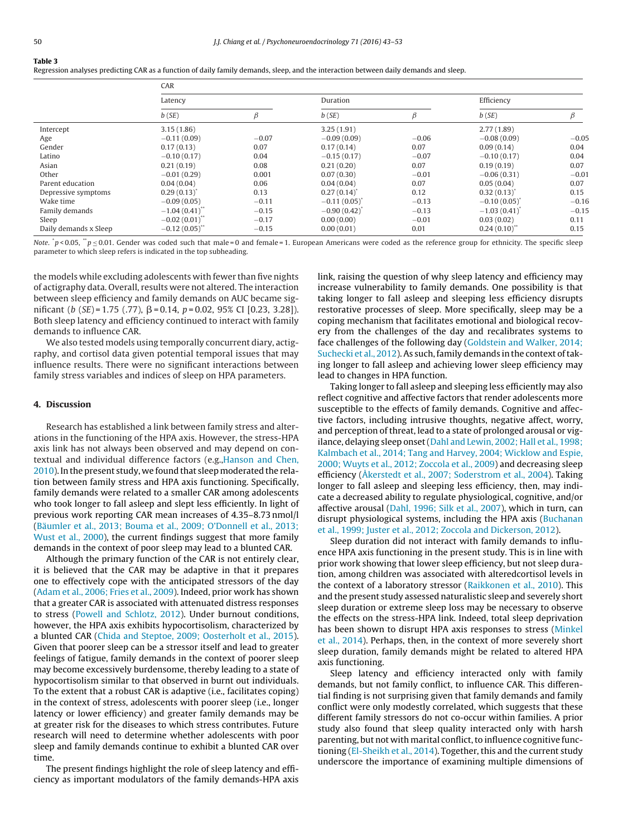| . . | ۹ | ٧ |  |
|-----|---|---|--|
|     |   |   |  |

Regression analyses predicting CAR as a function of daily family demands, sleep, and the interaction between daily demands and sleep.

|                       | CAR              |         |               |         |               |         |  |
|-----------------------|------------------|---------|---------------|---------|---------------|---------|--|
|                       | Latency          |         | Duration      |         | Efficiency    |         |  |
|                       | b(SE)            | R       | b(SE)         |         | b(SE)         | Β       |  |
| Intercept             | 3.15(1.86)       |         | 3.25(1.91)    |         | 2.77(1.89)    |         |  |
| Age                   | $-0.11(0.09)$    | $-0.07$ | $-0.09(0.09)$ | $-0.06$ | $-0.08(0.09)$ | $-0.05$ |  |
| Gender                | 0.17(0.13)       | 0.07    | 0.17(0.14)    | 0.07    | 0.09(0.14)    | 0.04    |  |
| Latino                | $-0.10(0.17)$    | 0.04    | $-0.15(0.17)$ | $-0.07$ | $-0.10(0.17)$ | 0.04    |  |
| Asian                 | 0.21(0.19)       | 0.08    | 0.21(0.20)    | 0.07    | 0.19(0.19)    | 0.07    |  |
| Other                 | $-0.01(0.29)$    | 0.001   | 0.07(0.30)    | $-0.01$ | $-0.06(0.31)$ | $-0.01$ |  |
| Parent education      | 0.04(0.04)       | 0.06    | 0.04(0.04)    | 0.07    | 0.05(0.04)    | 0.07    |  |
| Depressive symptoms   | 0.29(0.13)       | 0.13    | 0.27(0.14)    | 0.12    | 0.32(0.13)    | 0.15    |  |
| Wake time             | $-0.09(0.05)$    | $-0.11$ | $-0.11(0.05)$ | $-0.13$ | $-0.10(0.05)$ | $-0.16$ |  |
| Family demands        | $-1.04(0.41)$    | $-0.15$ | $-0.90(0.42)$ | $-0.13$ | $-1.03(0.41)$ | $-0.15$ |  |
| Sleep                 | $-0.02(0.01)$ ** | $-0.17$ | 0.00(0.00)    | $-0.01$ | 0.03(0.02)    | 0.11    |  |
| Daily demands x Sleep | $-0.12(0.05)$    | $-0.15$ | 0.00(0.01)    | 0.01    | 0.24(0.10)    | 0.15    |  |

Note.  $\dot{p}$  > 0.05,  $\dot{p}$   $\ge$  0.01. Gender was coded such that male = 0 and female = 1. European Americans were coded as the reference group for ethnicity. The specific sleep parameter to which sleep refers is indicated in the top subheading.

the models while excluding adolescents with fewer than five nights of actigraphy data. Overall, results were not altered. The interaction between sleep efficiency and family demands on AUC became significant (b (SE)=1.75 (.77),  $\beta$ =0.14, p=0.02, 95% CI [0.23, 3.28]). Both sleep latency and efficiency continued to interact with family demands to influence CAR.

We also tested models using temporally concurrent diary, actigraphy, and cortisol data given potential temporal issues that may influence results. There were no significant interactions between family stress variables and indices of sleep on HPA parameters.

#### **4. Discussion**

Research has established a link between family stress and alterations in the functioning of the HPA axis. However, the stress-HPA axis link has not always been observed and may depend on contextual and individual difference factors (e.g.,Hanson and Chen, 2010). In the present study, we found that sleep moderated the relation between family stress and HPA axis functioning. Specifically, family demands were related to a smaller CAR among adolescents who took longer to fall asleep and slept less efficiently. In light of previous work reporting CAR mean increases of 4.35–8.73 nmol/l (Bäumler et al., 2013; Bouma et al., 2009; O'Donnell et al., 2013; Wust et al., 2000), the current findings suggest that more family demands in the context of poor sleep may lead to a blunted CAR.

Although the primary function of the CAR is not entirely clear, it is believed that the CAR may be adaptive in that it prepares one to effectively cope with the anticipated stressors of the day (Adam et al., 2006; Fries et al., 2009). Indeed, prior work has shown that a greater CAR is associated with attenuated distress responses to stress (Powell and Schlotz, 2012). Under burnout conditions, however, the HPA axis exhibits hypocortisolism, characterized by a blunted CAR (Chida and Steptoe, 2009; Oosterholt et al., 2015). Given that poorer sleep can be a stressor itself and lead to greater feelings of fatigue, family demands in the context of poorer sleep may become excessively burdensome, thereby leading to a state of hypocortisolism similar to that observed in burnt out individuals. To the extent that a robust CAR is adaptive (i.e., facilitates coping) in the context of stress, adolescents with poorer sleep (i.e., longer latency or lower efficiency) and greater family demands may be at greater risk for the diseases to which stress contributes. Future research will need to determine whether adolescents with poor sleep and family demands continue to exhibit a blunted CAR over time.

The present findings highlight the role of sleep latency and efficiency as important modulators of the family demands-HPA axis link, raising the question of why sleep latency and efficiency may increase vulnerability to family demands. One possibility is that taking longer to fall asleep and sleeping less efficiency disrupts restorative processes of sleep. More specifically, sleep may be a coping mechanism that facilitates emotional and biological recovery from the challenges of the day and recalibrates systems to face challenges of the following day (Goldstein and Walker, 2014; Suchecki et al., 2012). As such, family demands in the context of taking longer to fall asleep and achieving lower sleep efficiency may lead to changes in HPA function.

Taking longer to fall asleep and sleeping less efficiently may also reflect cognitive and affective factors that render adolescents more susceptible to the effects of family demands. Cognitive and affective factors, including intrusive thoughts, negative affect, worry, and perception of threat, lead to a state of prolonged arousal or vigilance, delaying sleep onset (Dahl and Lewin, 2002; Hall et al., 1998; Kalmbach et al., 2014; Tang and Harvey, 2004; Wicklow and Espie, 2000; Wuyts et al., 2012; Zoccola et al., 2009) and decreasing sleep efficiency (Åkerstedt et al., 2007; Soderstrom et al., 2004). Taking longer to fall asleep and sleeping less efficiency, then, may indicate a decreased ability to regulate physiological, cognitive, and/or affective arousal (Dahl, 1996; Silk et al., 2007), which in turn, can disrupt physiological systems, including the HPA axis (Buchanan et al., 1999; Juster et al., 2012; Zoccola and Dickerson, 2012).

Sleep duration did not interact with family demands to influence HPA axis functioning in the present study. This is in line with prior work showing that lower sleep efficiency, but not sleep duration, among children was associated with alteredcortisol levels in the context of a laboratory stressor (Raikkonen et al., 2010). This and the present study assessed naturalistic sleep and severely short sleep duration or extreme sleep loss may be necessary to observe the effects on the stress-HPA link. Indeed, total sleep deprivation has been shown to disrupt HPA axis responses to stress (Minkel et al., 2014). Perhaps, then, in the context of more severely short sleep duration, family demands might be related to altered HPA axis functioning.

Sleep latency and efficiency interacted only with family demands, but not family conflict, to influence CAR. This differential finding is not surprising given that family demands and family conflict were only modestly correlated, which suggests that these different family stressors do not co-occur within families. A prior study also found that sleep quality interacted only with harsh parenting, but not with marital conflict, to influence cognitive functioning (El-Sheikh et al., 2014). Together, this and the current study underscore the importance of examining multiple dimensions of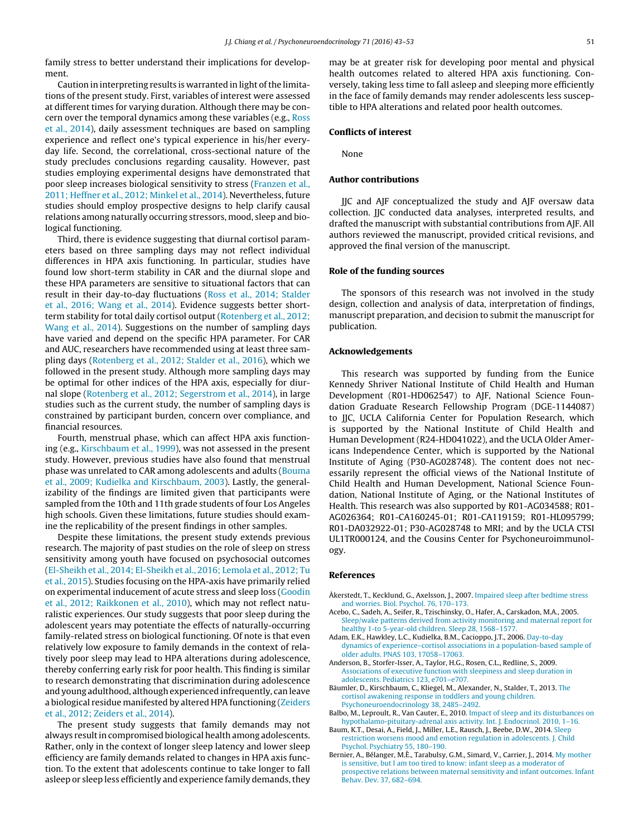family stress to better understand their implications for development.

Caution in interpreting results is warranted in light of the limitations of the present study. First, variables of interest were assessed at different times for varying duration. Although there may be concern over the temporal dynamics among these variables (e.g., Ross et al., 2014), daily assessment techniques are based on sampling experience and reflect one's typical experience in his/her everyday life. Second, the correlational, cross-sectional nature of the study precludes conclusions regarding causality. However, past studies employing experimental designs have demonstrated that poor sleep increases biological sensitivity to stress (Franzen et al., 2011; Heffner et al., 2012; Minkel et al., 2014). Nevertheless, future studies should employ prospective designs to help clarify causal relations among naturally occurring stressors, mood, sleep and biological functioning.

Third, there is evidence suggesting that diurnal cortisol parameters based on three sampling days may not reflect individual differences in HPA axis functioning. In particular, studies have found low short-term stability in CAR and the diurnal slope and these HPA parameters are sensitive to situational factors that can result in their day-to-day fluctuations (Ross et al., 2014; Stalder et al., 2016; Wang et al., 2014). Evidence suggests better shortterm stability for total daily cortisol output (Rotenberg et al., 2012; Wang et al., 2014). Suggestions on the number of sampling days have varied and depend on the specific HPA parameter. For CAR and AUC, researchers have recommended using at least three sampling days (Rotenberg et al., 2012; Stalder et al., 2016), which we followed in the present study. Although more sampling days may be optimal for other indices of the HPA axis, especially for diurnal slope (Rotenberg et al., 2012; Segerstrom et al., 2014), in large studies such as the current study, the number of sampling days is constrained by participant burden, concern over compliance, and financial resources.

Fourth, menstrual phase, which can affect HPA axis functioning (e.g., Kirschbaum et al., 1999), was not assessed in the present study. However, previous studies have also found that menstrual phase was unrelated to CAR among adolescents and adults (Bouma et al., 2009; Kudielka and Kirschbaum, 2003). Lastly, the generalizability of the findings are limited given that participants were sampled from the 10th and 11th grade students of four Los Angeles high schools. Given these limitations, future studies should examine the replicability of the present findings in other samples.

Despite these limitations, the present study extends previous research. The majority of past studies on the role of sleep on stress sensitivity among youth have focused on psychosocial outcomes (El-Sheikh et al., 2014; El-Sheikh et al., 2016; Lemola et al., 2012; Tu et al., 2015). Studies focusing on the HPA-axis have primarily relied on experimental inducement of acute stress and sleep loss (Goodin et al., 2012; Raikkonen et al., 2010), which may not reflect naturalistic experiences. Our study suggests that poor sleep during the adolescent years may potentiate the effects of naturally-occurring family-related stress on biological functioning. Of note is that even relatively low exposure to family demands in the context of relatively poor sleep may lead to HPA alterations during adolescence, thereby conferring early risk for poor health. This finding is similar to research demonstrating that discrimination during adolescence and young adulthood, although experienced infrequently, can leave a biological residue manifested by altered HPA functioning (Zeiders et al., 2012; Zeiders et al., 2014).

The present study suggests that family demands may not always result in compromised biological health among adolescents. Rather, only in the context of longer sleep latency and lower sleep efficiency are family demands related to changes in HPA axis function. To the extent that adolescents continue to take longer to fall asleep or sleep less efficiently and experience family demands,they

may be at greater risk for developing poor mental and physical health outcomes related to altered HPA axis functioning. Conversely, taking less time to fall asleep and sleeping more efficiently in the face of family demands may render adolescents less susceptible to HPA alterations and related poor health outcomes.

## **Conflicts of interest**

None

## **Author contributions**

JJC and AJF conceptualized the study and AJF oversaw data collection. JJC conducted data analyses, interpreted results, and drafted the manuscript with substantial contributions from AJF. All authors reviewed the manuscript, provided critical revisions, and approved the final version of the manuscript.

## **Role of the funding sources**

The sponsors of this research was not involved in the study design, collection and analysis of data, interpretation of findings, manuscript preparation, and decision to submit the manuscript for publication.

#### **Acknowledgements**

This research was supported by funding from the Eunice Kennedy Shriver National Institute of Child Health and Human Development (R01-HD062547) to AJF, National Science Foundation Graduate Research Fellowship Program (DGE-1144087) to JJC, UCLA California Center for Population Research, which is supported by the National Institute of Child Health and Human Development (R24-HD041022), and the UCLA Older Americans Independence Center, which is supported by the National Institute of Aging (P30-AG028748). The content does not necessarily represent the official views of the National Institute of Child Health and Human Development, National Science Foundation, National Institute of Aging, or the National Institutes of Health. This research was also supported by R01-AG034588; R01- AG026364; R01-CA160245-01; R01-CA119159; R01-HL095799; R01-DA032922-01; P30-AG028748 to MRI; and by the UCLA CTSI UL1TR000124, and the Cousins Center for Psychoneuroimmunology.

## **References**

- Åkerstedt, T., Kecklund, G., Axelsson, J., 2007. Impaired sleep after bedtime stress and worries. Biol. Psychol. 76, 170–173.
- Acebo, C., Sadeh, A., Seifer, R., Tzischinsky, O., Hafer, A., Carskadon, M.A., 2005. Sleep/wake patterns derived from activity monitoring and maternal report for healthy 1-to 5-year-old children. Sleep 28, 1568–1577.
- Adam, E.K., Hawkley, L.C., Kudielka, B.M., Cacioppo, J.T., 2006. Day-to-day dynamics of experience–cortisol associations in a population-based sample of older adults. PNAS 103, 17058–17063.
- Anderson, B., Storfer-Isser, A., Taylor, H.G., Rosen, C.L., Redline, S., 2009. Associations of executive function with sleepiness and sleep duration in adolescents. Pediatrics 123, e701–e707.
- Bäumler, D., Kirschbaum, C., Kliegel, M., Alexander, N., Stalder, T., 2013. The cortisol awakening response in toddlers and young children. Psychoneuroendocrinology 38, 2485–2492.
- Balbo, M., Leproult, R., Van Cauter, E., 2010. Impact of sleep and its disturbances on hypothalamo-pituitary-adrenal axis activity. Int. J. Endocrinol. 2010, 1–16.
- Baum, K.T., Desai, A., Field, J., Miller, L.E., Rausch, J., Beebe, D.W., 2014. Sleep restriction worsens mood and emotion regulation in adolescents. J. Child Psychol. Psychiatry 55, 180–190.
- Bernier, A., Bélanger, M.È., Tarabulsy, G.M., Simard, V., Carrier, J., 2014. My mother is sensitive, but I am too tired to know: infant sleep as a moderator of prospective relations between maternal sensitivity and infant outcomes. Infant Behav. Dev. 37, 682–694.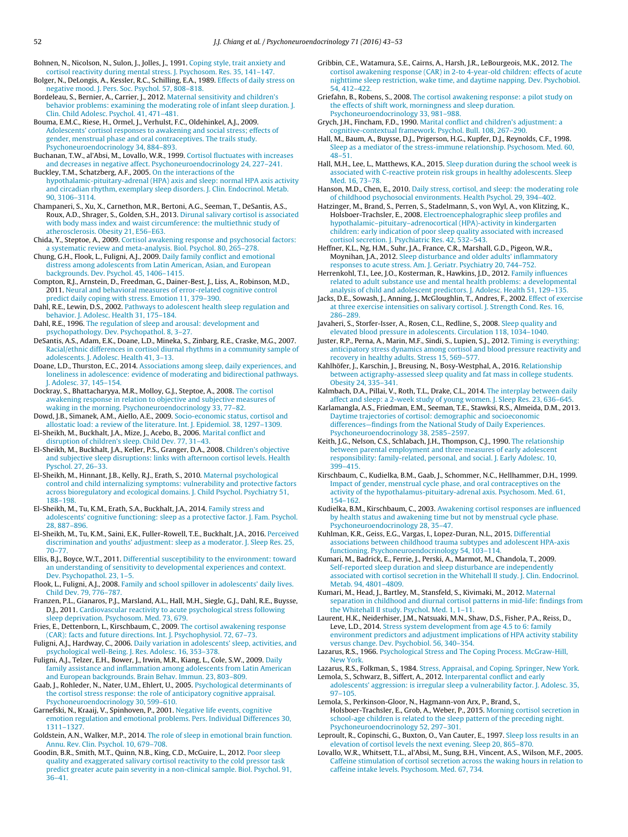Bohnen, N., Nicolson, N., Sulon, J., Jolles, J., 1991. Coping style, trait anxiety and cortisol reactivity during mental stress. J. Psychosom. Res. 35, 141–147.

Bolger, N., DeLongis, A., Kessler, R.C., Schilling, E.A., 1989. Effects of daily stress on negative mood. J. Pers. Soc. Psychol. 57, 808–818.

Bordeleau, S., Bernier, A., Carrier, J., 2012. Maternal sensitivity and children's behavior problems: examining the moderating role of infant sleep duration. J. Clin. Child Adolesc. Psychol. 41, 471–481.

Bouma, E.M.C., Riese, H., Ormel, J., Verhulst, F.C., Oldehinkel, A.J., 2009. Adolescents' cortisol responses to awakening and social stress; effects of gender, menstrual phase and oral contraceptives. The trails study. Psychoneuroendocrinology 34, 884–893.

Buchanan, T.W., al'Absi, M., Lovallo, W.R., 1999. Cortisol fluctuates with increases and decreases in negative affect. Psychoneuroendocrinology 24, 227–241. Buckley, T.M., Schatzberg, A.F., 2005. On the interactions of the

hypothalamic-pituitary-adrenal (HPA) axis and sleep: normal HPA axis activity and circadian rhythm, exemplary sleep disorders. J. Clin. Endocrinol. Metab. 90, 3106–3114.

Champaneri, S., Xu, X., Carnethon, M.R., Bertoni, A.G., Seeman, T., DeSantis, A.S., Roux, A.D., Shrager, S., Golden, S.H., 2013. Dirunal salivary cortisol is associated with body mass index and waist circumference: the multiethnic study of atherosclerosis. Obesity 21, E56–E63.

Chida, Y., Steptoe, A., 2009. Cortisol awakening response and psychosocial factors: a systematic review and meta-analysis. Biol. Psychol. 80, 265–278.

Chung, G.H., Flook, L., Fuligni, A.J., 2009. Daily family conflict and emotional distress among adolescents from Latin American, Asian, and European backgrounds. Dev. Psychol. 45, 1406–1415.

Compton, R.J., Arnstein, D., Freedman, G., Dainer-Best, J., Liss, A., Robinson, M.D., 2011. Neural and behavioral measures of error-related cognitive control predict daily coping with stress. Emotion 11, 379–390.

Dahl, R.E., Lewin, D.S., 2002. Pathways to adolescent health sleep regulation and behavior. J. Adolesc. Health 31, 175–184.

Dahl, R.E., 1996. The regulation of sleep and arousal: development and psychopathology. Dev. Psychopathol. 8, 3–27.

DeSantis, A.S., Adam, E.K., Doane, L.D., Mineka, S., Zinbarg, R.E., Craske, M.G., 2007. Racial/ethnic differences in cortisol diurnal rhythms in a community sample of adolescents. J. Adolesc. Health 41, 3–13.

Doane, L.D., Thurston, E.C., 2014. Associations among sleep, daily experiences, and loneliness in adolescence: evidence of moderating and bidirectional pathways. J. Adolesc. 37, 145–154.

Dockray, S., Bhattacharyya, M.R., Molloy, G.J., Steptoe, A., 2008. The cortisol awakening response in relation to objective and subjective measures of waking in the morning. Psychoneuroendocrinology 33, 77–82.

Dowd, J.B., Simanek, A.M., Aiello, A.E., 2009. Socio-economic status, cortisol and allostatic load: a review of the literature. Int. J. Epidemiol. 38, 1297–1309. El-Sheikh, M., Buckhalt, J.A., Mize, J., Acebo, B., 2006. Marital conflict and disruption of children's sleep. Child Dev. 77, 31–43.

El-Sheikh, M., Buckhalt, J.A., Keller, P.S., Granger, D.A., 2008. Children's objective and subjective sleep disruptions: links with afternoon cortisol levels. Health Pyschol. 27, 26–33.

El-Sheikh, M., Hinnant, J.B., Kelly, R.J., Erath, S., 2010. Maternal psychological control and child internalizing symptoms: vulnerability and protective factors across bioregulatory and ecological domains. J. Child Psychol. Psychiatry 51, 188–198.

El-Sheikh, M., Tu, K.M., Erath, S.A., Buckhalt, J.A., 2014. Family stress and adolescents' cognitive functioning: sleep as a protective factor. J. Fam. Psychol. 28, 887–896.

El-Sheikh, M., Tu, K.M., Saini, E.K., Fuller-Rowell, T.E., Buckhalt, J.A., 2016. Perceived discrimination and youths' adjustment: sleep as a moderator. J. Sleep Res. 25, 70–77.

Ellis, B.J., Boyce, W.T., 2011. Differential susceptibility to the environment: toward an understanding of sensitivity to developmental experiences and context. Dev. Psychopathol. 23, 1–5.

Flook, L., Fuligni, A.J., 2008. Family and school spillover in adolescents' daily lives. Child Dev. 79, 776–787.

Franzen, P.L., Gianaros, P.J., Marsland, A.L., Hall, M.H., Siegle, G.J., Dahl, R.E., Buysse, D.J., 2011. Cardiovascular reactivity to acute psychological stress following sleep deprivation. Psychosom. Med. 73, 679.

Fries, E., Dettenborn, L., Kirschbaum, C., 2009. The cortisol awakening response (CAR): facts and future directions. Int. J. Psychophysiol. 72, 67–73.

Fuligni, A.J., Hardway, C., 2006. Daily variation in adolescents' sleep, activities, and psychological well-Being. J. Res. Adolesc. 16, 353–378.

Fuligni, A.J., Telzer, E.H., Bower, J., Irwin, M.R., Kiang, L., Cole, S.W., 2009. Daily family assistance and inflammation among adolescents from Latin American and European backgrounds. Brain Behav. Immun. 23, 803–809.

Gaab, J., Rohleder, N., Nater, U.M., Ehlert, U., 2005. Psychological determinants of the cortisol stress response: the role of anticipatory cognitive appraisal. Psychoneuroendocrinology 30, 599–610.

Garnefski, N., Kraaij, V., Spinhoven, P., 2001. Negative life events, cognitive emotion regulation and emotional problems. Pers. Individual Differences 30, 1311–1327.

Goldstein, A.N., Walker, M.P., 2014. The role of sleep in emotional brain function. Annu. Rev. Clin. Psychol. 10, 679–708.

Goodin, B.R., Smith, M.T., Quinn, N.B., King, C.D., McGuire, L., 2012. Poor sleep quality and exaggerated salivary cortisol reactivity to the cold pressor task predict greater acute pain severity in a non-clinical sample. Biol. Psychol. 91, 36–41.

Gribbin, C.E., Watamura, S.E., Cairns, A., Harsh, J.R., LeBourgeois, M.K., 2012. The cortisol awakening response (CAR) in 2-to 4-year-old children: effects of acute nighttime sleep restriction, wake time, and daytime napping. Dev. Psychobiol. 54, 412–422.

Griefahn, B., Robens, S., 2008. The cortisol awakening response: a pilot study on the effects of shift work, morningness and sleep duration. Psychoneuroendocrinology 33, 981–988.

Grych, J.H., Fincham, F.D., 1990. Marital conflict and children's adjustment: a cognitive-contextual framework. Psychol. Bull. 108, 267–290.

Hall, M., Baum, A., Buysse, D.J., Prigerson, H.G., Kupfer, D.J., Reynolds, C.F., 1998. Sleep as a mediator of the stress-immune relationship. Psychosom. Med. 60, 48–51.

Hall, M.H., Lee, L., Matthews, K.A., 2015. Sleep duration during the school week is associated with C-reactive protein risk groups in healthy adolescents. Sleep Med. 16, 73–78.

Hanson, M.D., Chen, E., 2010. Daily stress, cortisol, and sleep: the moderating role of childhood psychosocial environments. Health Psychol. 29, 394–402.

Hatzinger, M., Brand, S., Perren, S., Stadelmann, S., von Wyl, A., von Klitzing, K., Holsboer-Trachsler, E., 2008. Electroencephalographic sleep profiles and hypothalamic–pituitary–adrenocortical (HPA)-activity in kindergarten children: early indication of poor sleep quality associated with increased cortisol secretion. J. Psychiatric Res. 42, 532–543.

Heffner, K.L., Ng, H.M., Suhr, J.A., France, C.R., Marshall, G.D., Pigeon, W.R., Moynihan, J.A., 2012. Sleep disturbance and older adults' inflammatory responses to acute stress. Am. J. Geriatr. Psychiatry 20, 744–752.

Herrenkohl, T.I., Lee, J.O., Kosterman, R., Hawkins, J.D., 2012. Family influences related to adult substance use and mental health problems: a developmental analysis of child and adolescent predictors. J. Adolesc. Health 51, 129–135.

Jacks, D.E., Sowash, J., Anning, J., McGloughlin, T., Andres, F., 2002. Effect of exercise at three exercise intensities on salivary cortisol. J. Strength Cond. Res. 16, 286–289.

Javaheri, S., Storfer-Isser, A., Rosen, C.L., Redline, S., 2008. Sleep quality and elevated blood pressure in adolescents. Circulation 118, 1034–1040.

Juster, R.P., Perna, A., Marin, M.F., Sindi, S., Lupien, S.J., 2012. Timing is everything: anticipatory stress dynamics among cortisol and blood pressure reactivity and recovery in healthy adults. Stress 15, 569–577.

Kahlhöfer, J., Karschin, J., Breusing, N., Bosy-Westphal, A., 2016. Relationship between actigraphy-assessed sleep quality and fat mass in college students. Obesity 24, 335–341.

Kalmbach, D.A., Pillai, V., Roth, T.L., Drake, C.L., 2014. The interplay between daily affect and sleep: a 2-week study of young women. J. Sleep Res. 23, 636–645.

Karlamangla, A.S., Friedman, E.M., Seeman, T.E., Stawksi, R.S., Almeida, D.M., 2013. Daytime trajectories of cortisol: demographic and socioeconomic differences—findings from the National Study of Daily Experiences. Psychoneuroendocrinology 38, 2585–2597.

Keith, J.G., Nelson, C.S., Schlabach, J.H., Thompson, C.J., 1990. The relationship between parental employment and three measures of early adolescent responsibility: family-related, personal, and social. J. Early Adolesc. 10, 399–415.

Kirschbaum, C., Kudielka, B.M., Gaab, J., Schommer, N.C., Hellhammer, D.H., 1999. Impact of gender, menstrual cycle phase, and oral contraceptives on the activity of the hypothalamus-pituitary-adrenal axis. Psychosom. Med. 61, 154–162.

Kudielka, B.M., Kirschbaum, C., 2003. Awakening cortisol responses are influenced by health status and awakening time but not by menstrual cycle phase. Psychoneuroendocrinology 28, 35–47.

Kuhlman, K.R., Geiss, E.G., Vargas, I., Lopez-Duran, N.L., 2015. Differential associations between childhood trauma subtypes and adolescent HPA-axis functioning. Psychoneuroendocrinology 54, 103–114.

Kumari, M., Badrick, E., Ferrie, J., Perski, A., Marmot, M., Chandola, T., 2009. Self-reported sleep duration and sleep disturbance are independently associated with cortisol secretion in the Whitehall II study. J. Clin. Endocrinol. Metab. 94, 4801–4809.

Kumari, M., Head, J., Bartley, M., Stansfeld, S., Kivimaki, M., 2012. Maternal separation in childhood and diurnal cortisol patterns in mid-life: findings from the Whitehall II study. Psychol. Med. 1, 1–11.

Laurent, H.K., Neiderhiser, J.M., Natsuaki, M.N., Shaw, D.S., Fisher, P.A., Reiss, D., Leve, L.D., 2014. Stress system development from age 4.5 to 6: family environment predictors and adjustment implications of HPA activity stability versus change. Dev. Psychobiol. 56, 340–354.

Lazarus, R.S., 1966. Psychological Stress and The Coping Process. McGraw-Hill, New York.

Lazarus, R.S., Folkman, S., 1984. Stress, Appraisal, and Coping. Springer, New York.

Lemola, S., Schwarz, B., Siffert, A., 2012. Interparental conflict and early adolescents' aggression: is irregular sleep a vulnerability factor. J. Adolesc. 35, 97–105.

Lemola, S., Perkinson-Gloor, N., Hagmann-von Arx, P., Brand, S., Holsboer-Trachsler, E., Grob, A., Weber, P., 2015. Morning cortisol secretion in school-age children is related to the sleep pattern of the preceding night. Psychoneuroendocrinology 52, 297–301.

Leproult, R., Copinschi, G., Buxton, O., Van Cauter, E., 1997. Sleep loss results in an elevation of cortisol levels the next evening. Sleep 20, 865–870.

Lovallo, W.R., Whitsett, T.L., al'Absi, M., Sung, B.H., Vincent, A.S., Wilson, M.F., 2005. Caffeine stimulation of cortisol secretion across the waking hours in relation to caffeine intake levels. Psychosom. Med. 67, 734.